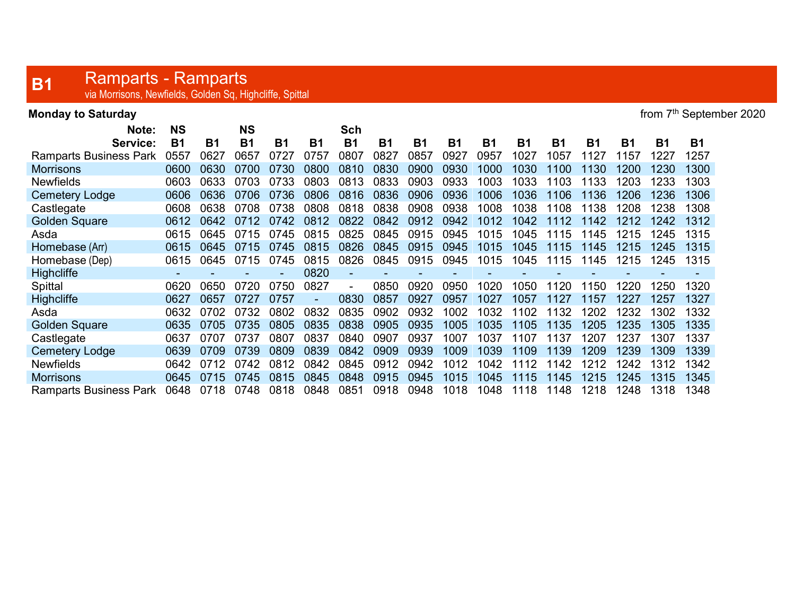## **B1** Ramparts - Ramparts<br>
via Morrisons, Newfields, Golden Sq, Highcliffe, Spittal

| <b>Monday to Saturday</b> | from 7 <sup>th</sup> September 2020 |
|---------------------------|-------------------------------------|
|---------------------------|-------------------------------------|

| Note:                         | <b>NS</b> |           | <b>NS</b> |           |           | Sch       |           |           |           |           |           |           |           |           |           |           |
|-------------------------------|-----------|-----------|-----------|-----------|-----------|-----------|-----------|-----------|-----------|-----------|-----------|-----------|-----------|-----------|-----------|-----------|
| Service:                      | <b>B1</b> | <b>B1</b> | <b>B1</b> | <b>B1</b> | <b>B1</b> | <b>B1</b> | <b>B1</b> | <b>B1</b> | <b>B1</b> | <b>B1</b> | <b>B1</b> | <b>B1</b> | <b>B1</b> | <b>B1</b> | <b>B1</b> | <b>B1</b> |
| <b>Ramparts Business Park</b> | 0557      | 0627      | 0657      | 0727      | 0757      | 0807      | 0827      | 0857      | 0927      | 0957      | 1027      | 1057      | 1127      | 1157      | 1227      | 1257      |
| <b>Morrisons</b>              | 0600      | 0630      | 0700      | 0730      | 0800      | 0810      | 0830      | 0900      | 0930      | 1000      | 1030      | 1100      | 1130      | 1200      | 1230      | 1300      |
| <b>Newfields</b>              | 0603      | 0633      | 0703      | 0733      | 0803      | 0813      | 0833      | 0903      | 0933      | 1003      | 1033      | 1103      | 1133      | 1203      | 1233      | 1303      |
| <b>Cemetery Lodge</b>         | 0606      | 0636      | 0706      | 0736      | 0806      | 0816      | 0836      | 0906      | 0936      | 1006      | 1036      | 1106      | 1136      | 1206      | 1236      | 1306      |
| Castlegate                    | 0608      | 0638      | 0708      | 0738      | 0808      | 0818      | 0838      | 0908      | 0938      | 1008      | 1038      | 1108      | 1138      | 1208      | 1238      | 1308      |
| <b>Golden Square</b>          | 0612      | 0642      |           | 0742      | 0812      | 0822      | 0842      | 0912      | 0942      | 1012      | 1042      | 1112      | 1142      | 1212      | 1242      | 1312      |
| Asda                          | 0615      | 0645      | 0715      | 0745      | 0815      | 0825      | 0845      | 0915      | 0945      | 1015      | 1045      | 1115      | 1145      | 1215      | 1245      | 1315      |
| Homebase (Arr)                | 0615      | 0645      | 0715      | 0745      | 0815      | 0826      | 0845      | 0915      | 0945      | 1015      | 1045      | 1115      | 1145      | 1215      | 1245      | 1315      |
| Homebase (Dep)                | 0615      | 0645      | 0715      | 0745      | 0815      | 0826      | 0845      | 0915      | 0945      | 1015      | 1045      | 115       | 145       | 1215      | 1245      | 1315      |
| <b>Highcliffe</b>             |           |           |           |           | 0820      |           |           |           |           |           |           |           |           |           |           |           |
| Spittal                       | 0620      | 0650      | 0720      | 0750      | 0827      | Ξ.        | 0850      | 0920      | 0950      | 1020      | 1050      | 1120      | 150       | 1220      | 1250      | 1320      |
| <b>Highcliffe</b>             | 0627      | 0657      | 0727      | 0757      |           | 0830      | 0857      | 0927      | 0957      | 1027      | 1057      | 1127      | 1157      | 1227      | 1257      | 1327      |
| Asda                          | 0632      | 0702      | 0732      | 0802      | 0832      | 0835      | 0902      | 0932      | 1002      | 1032      | 1102      | 132       | 1202      | 1232      | 1302      | 1332      |
| <b>Golden Square</b>          | 0635      | 0705      | 0735      | 0805      | 0835      | 0838      | 0905      | 0935      | 1005      | 1035      | 1105      | 1135      | 1205      | 1235      | 1305      | 1335      |
| Castlegate                    | 0637      | 0707      | 0737      | 0807      | 0837      | 0840      | 0907      | 0937      | 1007      | 1037      | 1107      | 1137      | 1207      | 1237      | 1307      | 1337      |
| <b>Cemetery Lodge</b>         | 0639      | 0709      | 0739      | 0809      | 0839      | 0842      | 0909      | 0939      | 1009      | 1039      | 1109      | 1139      | 1209      | 1239      | 1309      | 1339      |
| <b>Newfields</b>              | 0642      | 0712      | 0742      | 0812      | 0842      | 0845      | 0912      | 0942      | 1012      | 1042      | 1112      | 1142      | 1212      | 1242      | 1312      | 1342      |
| <b>Morrisons</b>              | 0645      | 0715      | 0745      | 0815      | 0845      | 0848      | 0915      | 0945      | 1015      | 1045      | 1115      | 1145      | 1215      | 1245      | 1315      | 1345      |
| <b>Ramparts Business Park</b> | 0648      | 0718      | 0748      | 0818      | 0848      | 0851      | 0918      | 0948      | 1018      | 1048      | 1118      | 1148      | 1218      | 1248      | 1318      | 1348      |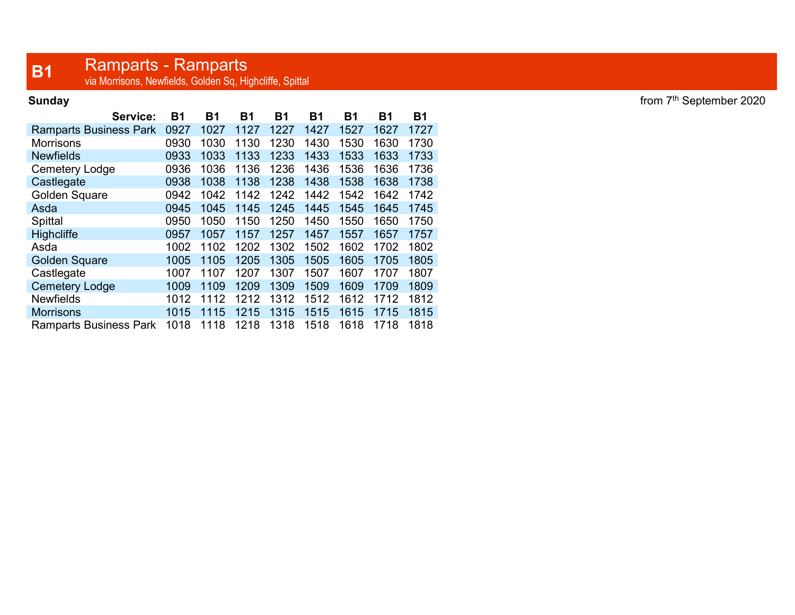## **B1** Ramparts - Ramparts<br>
via Morrisons, Newfields, Golden Sq, Highcliffe, Spittal

| Service:                      | <b>B1</b> | <b>B1</b> | Β1   | Β1   | <b>B1</b> | <b>B1</b> | Β1   | <b>B1</b> |
|-------------------------------|-----------|-----------|------|------|-----------|-----------|------|-----------|
| <b>Ramparts Business Park</b> | 0927      | 1027      | 1127 | 1227 | 1427      | 1527      | 1627 | 1727      |
| Morrisons                     | 0930      | 1030      | 1130 | 1230 | 1430      | 1530      | 1630 | 1730      |
| <b>Newfields</b>              | 0933      | 1033      | 1133 | 1233 | 1433      | 1533      | 1633 | 1733      |
| Cemetery Lodge                | 0936      | 1036      | 1136 | 1236 | 1436      | 1536      | 1636 | 1736      |
| Castlegate                    | 0938      | 1038      | 1138 | 1238 | 1438      | 1538      | 1638 | 1738      |
| Golden Square                 | 0942      | 1042      | 1142 | 1242 | 1442      | 1542      | 1642 | 1742      |
| Asda                          | 0945      | 1045      | 1145 | 1245 | 1445      | 1545      | 1645 | 1745      |
| Spittal                       | 0950      | 1050      | 1150 | 1250 | 1450      | 1550      | 1650 | 1750      |
| <b>Highcliffe</b>             | 0957      | 1057      | 1157 | 1257 | 1457      | 1557      | 1657 | 1757      |
| Asda                          | 1002      | 1102      | 1202 | 1302 | 1502      | 1602      | 1702 | 1802      |
| <b>Golden Square</b>          | 1005      | 1105      | 1205 | 1305 | 1505      | 1605      | 1705 | 1805      |
| Castlegate                    | 1007      | 1107      | 1207 | 1307 | 1507      | 1607      | 1707 | 1807      |
| <b>Cemetery Lodge</b>         | 1009      | 1109      | 1209 | 1309 | 1509      | 1609      | 1709 | 1809      |
| <b>Newfields</b>              | 1012      | 1112      | 1212 | 1312 | 1512      | 1612      | 1712 | 1812      |
| <b>Morrisons</b>              | 1015      | 1115      | 1215 | 1315 | 1515      | 1615      | 1715 | 1815      |
| <b>Ramparts Business Park</b> | 1018      | 1118      | 1218 | 1318 | 1518      | 1618      | 1718 | 1818      |

Sunday from  $7<sup>th</sup>$  September 2020